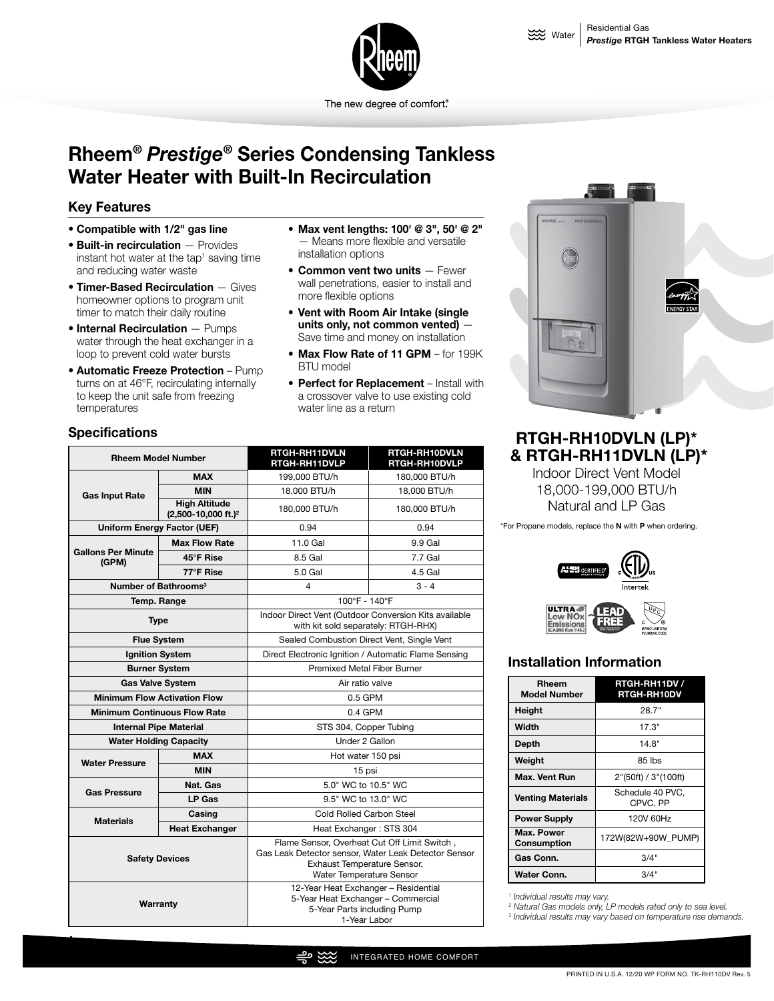

The new degree of comfort.

### **Rheem***® Prestige®* **Series Condensing Tankless Water Heater with Built-In Recirculation**

#### **Key Features**

- **Compatible with 1/2" gas line**
- **Built-in recirculation**  Provides instant hot water at the tap<sup>1</sup> saving time and reducing water waste
- **Timer-Based Recirculation**  Gives homeowner options to program unit timer to match their daily routine
- **Internal Recirculation**  Pumps water through the heat exchanger in a loop to prevent cold water bursts
- **Automatic Freeze Protection** Pump turns on at 46°F, recirculating internally to keep the unit safe from freezing temperatures
- **Max vent lengths: 100' @ 3", 50' @ 2"** — Means more flexible and versatile installation options
- **Common vent two units**  Fewer wall penetrations, easier to install and more flexible options
- **Vent with Room Air Intake (single units only, not common vented)** — Save time and money on installation
- **Max Flow Rate of 11 GPM**  for 199K BTU model
- **Perfect for Replacement**  Install with a crossover valve to use existing cold water line as a return



#### **Specifications**

|

| <b>Rheem Model Number</b>           |                                                           | RTGH-RH11DVLN<br>RTGH-RH11DVLP                                                                                                                                  | RTGH-RH10DVLN<br>RTGH-RH10DVLP |  |  |
|-------------------------------------|-----------------------------------------------------------|-----------------------------------------------------------------------------------------------------------------------------------------------------------------|--------------------------------|--|--|
|                                     | <b>MAX</b>                                                | 199,000 BTU/h                                                                                                                                                   | 180,000 BTU/h                  |  |  |
| <b>Gas Input Rate</b>               | <b>MIN</b>                                                | 18.000 BTU/h                                                                                                                                                    | 18.000 BTU/h                   |  |  |
|                                     | <b>High Altitude</b><br>$(2,500-10,000$ ft.) <sup>2</sup> | 180,000 BTU/h                                                                                                                                                   | 180,000 BTU/h                  |  |  |
| <b>Uniform Energy Factor (UEF)</b>  |                                                           | 0.94                                                                                                                                                            | 0.94                           |  |  |
|                                     | <b>Max Flow Rate</b>                                      | 11.0 Gal                                                                                                                                                        | 9.9 Gal                        |  |  |
| <b>Gallons Per Minute</b><br>(GPM)  | 45°F Rise                                                 | 8.5 Gal                                                                                                                                                         | 7.7 Gal                        |  |  |
|                                     | 77°F Rise                                                 | 5.0 Gal                                                                                                                                                         | 4.5 Gal                        |  |  |
|                                     | Number of Bathrooms <sup>3</sup>                          | 4                                                                                                                                                               | $3 - 4$                        |  |  |
| Temp. Range                         |                                                           | 100°F - 140°F                                                                                                                                                   |                                |  |  |
| <b>Type</b>                         |                                                           | Indoor Direct Vent (Outdoor Conversion Kits available<br>with kit sold separately: RTGH-RHX)                                                                    |                                |  |  |
| <b>Flue System</b>                  |                                                           | Sealed Combustion Direct Vent, Single Vent                                                                                                                      |                                |  |  |
| <b>Ignition System</b>              |                                                           | Direct Electronic Ignition / Automatic Flame Sensing                                                                                                            |                                |  |  |
| <b>Burner System</b>                |                                                           | <b>Premixed Metal Fiber Burner</b>                                                                                                                              |                                |  |  |
| <b>Gas Valve System</b>             |                                                           | Air ratio valve                                                                                                                                                 |                                |  |  |
| <b>Minimum Flow Activation Flow</b> |                                                           | 0.5 GPM                                                                                                                                                         |                                |  |  |
| <b>Minimum Continuous Flow Rate</b> |                                                           | $0.4$ GPM                                                                                                                                                       |                                |  |  |
| <b>Internal Pipe Material</b>       |                                                           | STS 304, Copper Tubing                                                                                                                                          |                                |  |  |
| <b>Water Holding Capacity</b>       |                                                           | Under 2 Gallon                                                                                                                                                  |                                |  |  |
| <b>Water Pressure</b>               | <b>MAX</b>                                                | Hot water 150 psi                                                                                                                                               |                                |  |  |
|                                     | <b>MIN</b>                                                | 15 psi                                                                                                                                                          |                                |  |  |
| <b>Gas Pressure</b>                 | Nat. Gas                                                  | 5.0" WC to 10.5" WC                                                                                                                                             |                                |  |  |
|                                     | LP Gas                                                    | 9.5" WC to 13.0" WC                                                                                                                                             |                                |  |  |
| Casing<br><b>Materials</b>          |                                                           | Cold Rolled Carbon Steel                                                                                                                                        |                                |  |  |
|                                     | <b>Heat Exchanger</b>                                     | Heat Exchanger: STS 304                                                                                                                                         |                                |  |  |
| <b>Safety Devices</b>               |                                                           | Flame Sensor, Overheat Cut Off Limit Switch,<br>Gas Leak Detector sensor, Water Leak Detector Sensor<br>Exhaust Temperature Sensor,<br>Water Temperature Sensor |                                |  |  |
| Warranty                            |                                                           | 12-Year Heat Exchanger - Residential<br>5-Year Heat Exchanger - Commercial<br>5-Year Parts including Pump<br>1-Year Labor                                       |                                |  |  |

### **RTGH-RH10DVLN (LP)\* & RTGH-RH11DVLN (LP)\***

Indoor Direct Vent Model 18,000-199,000 BTU/h Natural and LP Gas

\*For Propane models, replace the **N** with **P** when ordering.



# **NO**<sub>x</sub>

#### **Installation Information**

| Rheem<br><b>Model Number</b> | RTGH-RH11DV /<br><b>RTGH-RH10DV</b> |
|------------------------------|-------------------------------------|
| Height                       | 28.7"                               |
| Width                        | 17.3"                               |
| Depth                        | 14.8"                               |
| Weight                       | 85 lbs                              |
| Max. Vent Run                | 2"(50ft) / 3"(100ft)                |
| <b>Venting Materials</b>     | Schedule 40 PVC.<br>CPVC, PP        |
| <b>Power Supply</b>          | 120V 60Hz                           |
| Max. Power<br>Consumption    | 172W(82W+90W PUMP)                  |
| Gas Conn.                    | 3/4"                                |
| Water Conn.                  | 3/4"                                |

<sup>1</sup> *Individual results may vary.*

<sup>2</sup> *Natural Gas models only, LP models rated only to sea level.*

3  *Individual results may vary based on temperature rise demands.*